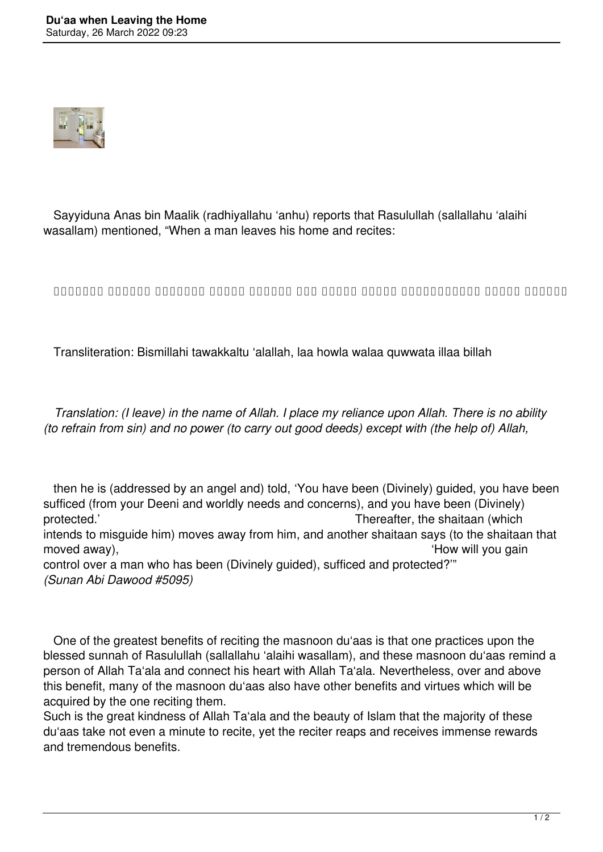

 Sayyiduna Anas bin Maalik (radhiyallahu 'anhu) reports that Rasulullah (sallallahu 'alaihi wasallam) mentioned, "When a man leaves his home and recites:

**بِسْمِ اللهِ تَوَكَّلْتُ عَلَى اللهِ لَا حَوْلَ وَلَا قُوَّةَ إِلَّا بِالله**

Transliteration: Bismillahi tawakkaltu 'alallah, laa howla walaa quwwata illaa billah

 *Translation: (I leave) in the name of Allah. I place my reliance upon Allah. There is no ability (to refrain from sin) and no power (to carry out good deeds) except with (the help of) Allah,*

 then he is (addressed by an angel and) told, 'You have been (Divinely) guided, you have been sufficed (from your Deeni and worldly needs and concerns), and you have been (Divinely) protected.' Thereafter, the shaitaan (which intends to misguide him) moves away from him, and another shaitaan says (to the shaitaan that moved away),  $\blacksquare$ control over a man who has been (Divinely guided), sufficed and protected?'" *(Sunan Abi Dawood #5095)*

 One of the greatest benefits of reciting the masnoon du'aas is that one practices upon the blessed sunnah of Rasulullah (sallallahu 'alaihi wasallam), and these masnoon du'aas remind a person of Allah Ta'ala and connect his heart with Allah Ta'ala. Nevertheless, over and above this benefit, many of the masnoon du'aas also have other benefits and virtues which will be acquired by the one reciting them.

Such is the great kindness of Allah Ta'ala and the beauty of Islam that the majority of these du'aas take not even a minute to recite, yet the reciter reaps and receives immense rewards and tremendous benefits.